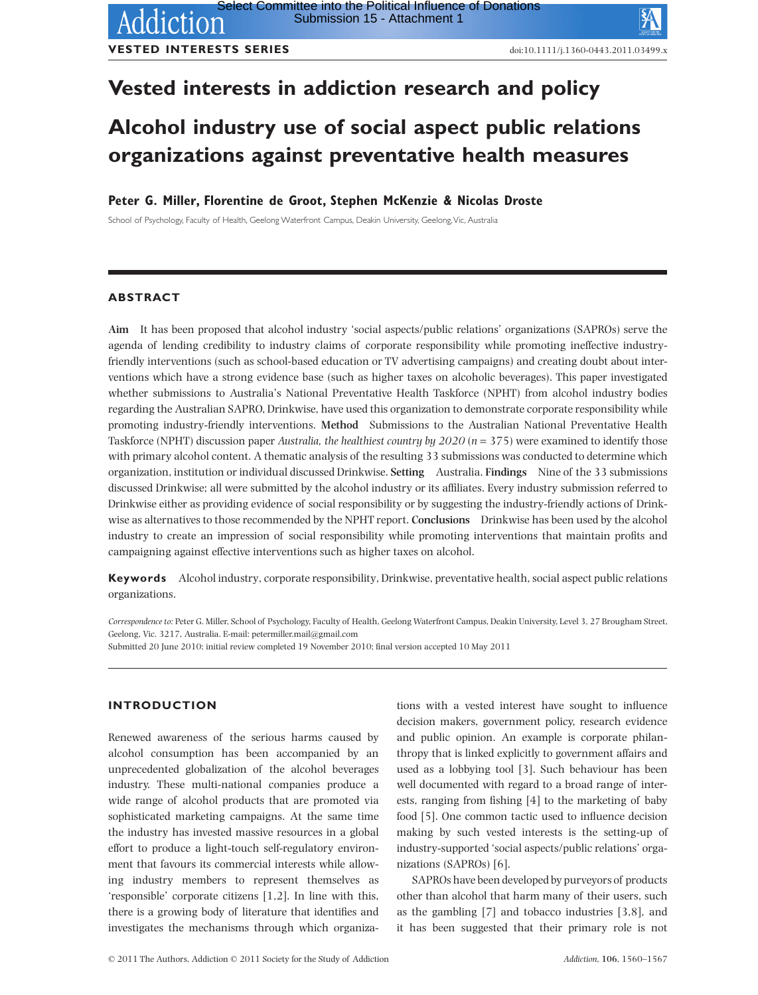## **Vested interests in addiction research and policy**

## **Alcohol industry use of social aspect public relations organizations against preventative health measures**

**Peter G. Miller, Florentine de Groot, Stephen McKenzie & Nicolas Droste**

School of Psychology, Faculty of Health, Geelong Waterfront Campus, Deakin University, Geelong,Vic, Australia

## **ABSTRACT**

**Aim** It has been proposed that alcohol industry 'social aspects/public relations' organizations (SAPROs) serve the agenda of lending credibility to industry claims of corporate responsibility while promoting ineffective industryfriendly interventions (such as school-based education or TV advertising campaigns) and creating doubt about interventions which have a strong evidence base (such as higher taxes on alcoholic beverages). This paper investigated whether submissions to Australia's National Preventative Health Taskforce (NPHT) from alcohol industry bodies regarding the Australian SAPRO, Drinkwise, have used this organization to demonstrate corporate responsibility while promoting industry-friendly interventions. **Method** Submissions to the Australian National Preventative Health Taskforce (NPHT) discussion paper *Australia, the healthiest country by 2020* (*n* = 375) were examined to identify those with primary alcohol content. A thematic analysis of the resulting 33 submissions was conducted to determine which organization, institution or individual discussed Drinkwise. **Setting** Australia. **Findings** Nine of the 33 submissions discussed Drinkwise; all were submitted by the alcohol industry or its affiliates. Every industry submission referred to Drinkwise either as providing evidence of social responsibility or by suggesting the industry-friendly actions of Drinkwise as alternatives to those recommended by the NPHT report. **Conclusions** Drinkwise has been used by the alcohol industry to create an impression of social responsibility while promoting interventions that maintain profits and campaigning against effective interventions such as higher taxes on alcohol.

**Keywords** Alcohol industry, corporate responsibility, Drinkwise, preventative health, social aspect public relations organizations.

*Correspondence to:* Peter G. Miller, School of Psychology, Faculty of Health, Geelong Waterfront Campus, Deakin University, Level 3, 27 Brougham Street, Geelong, Vic. 3217, Australia. E-mail: petermiller.mail@gmail.com

Submitted 20 June 2010; initial review completed 19 November 2010; final version accepted 10 May 2011

## **INTRODUCTION**

Renewed awareness of the serious harms caused by alcohol consumption has been accompanied by an unprecedented globalization of the alcohol beverages industry. These multi-national companies produce a wide range of alcohol products that are promoted via sophisticated marketing campaigns. At the same time the industry has invested massive resources in a global effort to produce a light-touch self-regulatory environment that favours its commercial interests while allowing industry members to represent themselves as 'responsible' corporate citizens [1,2]. In line with this, there is a growing body of literature that identifies and investigates the mechanisms through which organizations with a vested interest have sought to influence decision makers, government policy, research evidence and public opinion. An example is corporate philanthropy that is linked explicitly to government affairs and used as a lobbying tool [3]. Such behaviour has been well documented with regard to a broad range of interests, ranging from fishing [4] to the marketing of baby food [5]. One common tactic used to influence decision making by such vested interests is the setting-up of industry-supported 'social aspects/public relations' organizations (SAPROs) [6].

SAPROs have been developed by purveyors of products other than alcohol that harm many of their users, such as the gambling [7] and tobacco industries [3,8], and it has been suggested that their primary role is not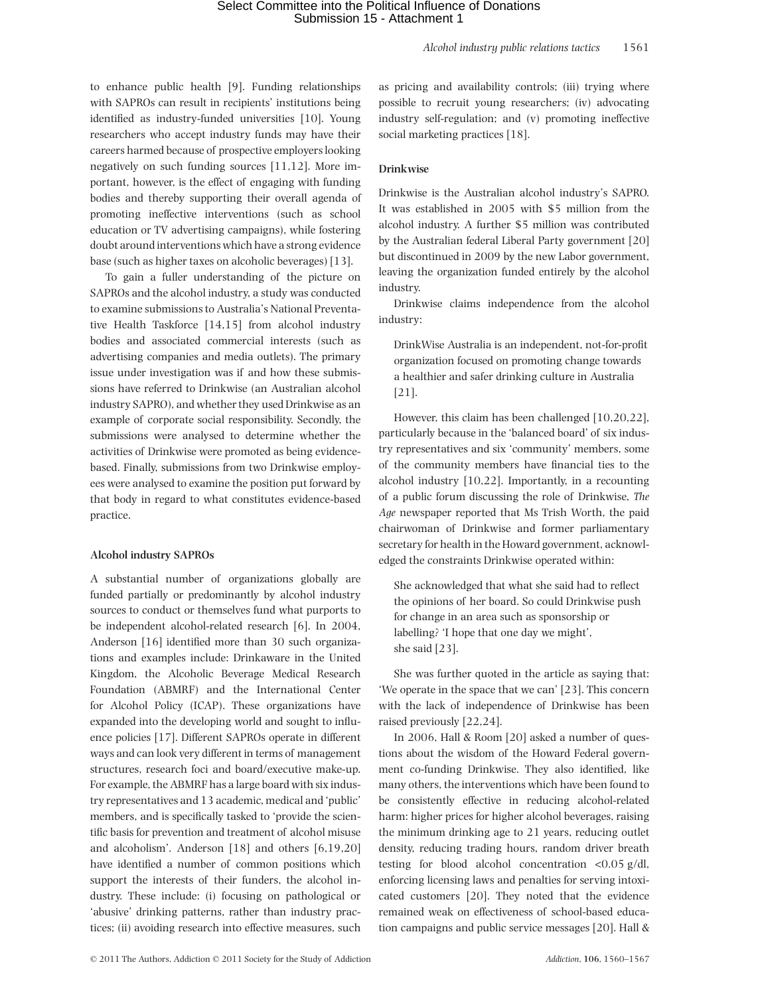to enhance public health [9]. Funding relationships with SAPROs can result in recipients' institutions being identified as industry-funded universities [10]. Young researchers who accept industry funds may have their careers harmed because of prospective employers looking negatively on such funding sources [11,12]. More important, however, is the effect of engaging with funding bodies and thereby supporting their overall agenda of promoting ineffective interventions (such as school education or TV advertising campaigns), while fostering doubt around interventions which have a strong evidence base (such as higher taxes on alcoholic beverages) [13].

To gain a fuller understanding of the picture on SAPROs and the alcohol industry, a study was conducted to examine submissions to Australia's National Preventative Health Taskforce [14,15] from alcohol industry bodies and associated commercial interests (such as advertising companies and media outlets). The primary issue under investigation was if and how these submissions have referred to Drinkwise (an Australian alcohol industry SAPRO), and whether they used Drinkwise as an example of corporate social responsibility. Secondly, the submissions were analysed to determine whether the activities of Drinkwise were promoted as being evidencebased. Finally, submissions from two Drinkwise employees were analysed to examine the position put forward by that body in regard to what constitutes evidence-based practice.

#### **Alcohol industry SAPROs**

A substantial number of organizations globally are funded partially or predominantly by alcohol industry sources to conduct or themselves fund what purports to be independent alcohol-related research [6]. In 2004, Anderson [16] identified more than 30 such organizations and examples include: Drinkaware in the United Kingdom, the Alcoholic Beverage Medical Research Foundation (ABMRF) and the International Center for Alcohol Policy (ICAP). These organizations have expanded into the developing world and sought to influence policies [17]. Different SAPROs operate in different ways and can look very different in terms of management structures, research foci and board/executive make-up. For example, the ABMRF has a large board with six industry representatives and 13 academic, medical and 'public' members, and is specifically tasked to 'provide the scientific basis for prevention and treatment of alcohol misuse and alcoholism'. Anderson [18] and others [6,19,20] have identified a number of common positions which support the interests of their funders, the alcohol industry. These include: (i) focusing on pathological or 'abusive' drinking patterns, rather than industry practices; (ii) avoiding research into effective measures, such as pricing and availability controls; (iii) trying where possible to recruit young researchers; (iv) advocating industry self-regulation; and (v) promoting ineffective social marketing practices [18].

#### **Drinkwise**

Drinkwise is the Australian alcohol industry's SAPRO. It was established in 2005 with \$5 million from the alcohol industry. A further \$5 million was contributed by the Australian federal Liberal Party government [20] but discontinued in 2009 by the new Labor government, leaving the organization funded entirely by the alcohol industry.

Drinkwise claims independence from the alcohol industry:

DrinkWise Australia is an independent, not-for-profit organization focused on promoting change towards a healthier and safer drinking culture in Australia [21].

However, this claim has been challenged [10,20,22], particularly because in the 'balanced board' of six industry representatives and six 'community' members, some of the community members have financial ties to the alcohol industry [10,22]. Importantly, in a recounting of a public forum discussing the role of Drinkwise, *The Age* newspaper reported that Ms Trish Worth, the paid chairwoman of Drinkwise and former parliamentary secretary for health in the Howard government, acknowledged the constraints Drinkwise operated within:

She acknowledged that what she said had to reflect the opinions of her board. So could Drinkwise push for change in an area such as sponsorship or labelling? 'I hope that one day we might', she said [23].

She was further quoted in the article as saying that: 'We operate in the space that we can' [23]. This concern with the lack of independence of Drinkwise has been raised previously [22,24].

In 2006, Hall & Room [20] asked a number of questions about the wisdom of the Howard Federal government co-funding Drinkwise. They also identified, like many others, the interventions which have been found to be consistently effective in reducing alcohol-related harm: higher prices for higher alcohol beverages, raising the minimum drinking age to 21 years, reducing outlet density, reducing trading hours, random driver breath testing for blood alcohol concentration <0.05 g/dl, enforcing licensing laws and penalties for serving intoxicated customers [20]. They noted that the evidence remained weak on effectiveness of school-based education campaigns and public service messages [20]. Hall &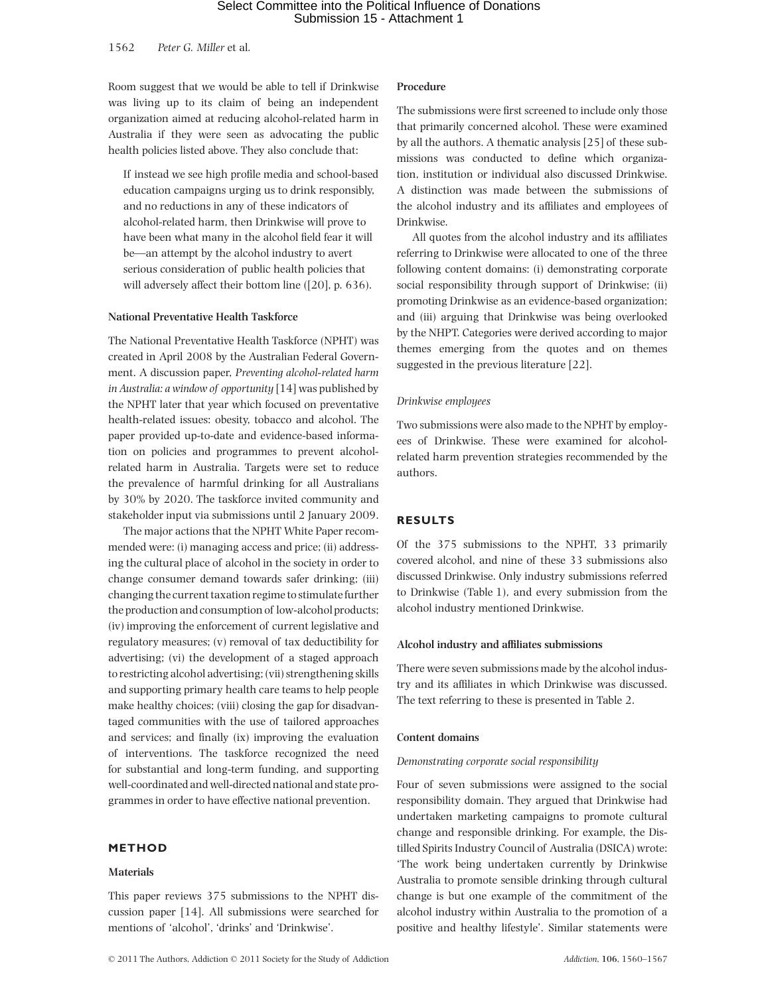1562 *Peter G. Miller* et al*.*

Room suggest that we would be able to tell if Drinkwise was living up to its claim of being an independent organization aimed at reducing alcohol-related harm in Australia if they were seen as advocating the public health policies listed above. They also conclude that:

If instead we see high profile media and school-based education campaigns urging us to drink responsibly, and no reductions in any of these indicators of alcohol-related harm, then Drinkwise will prove to have been what many in the alcohol field fear it will be—an attempt by the alcohol industry to avert serious consideration of public health policies that will adversely affect their bottom line ([20], p. 636).

#### **National Preventative Health Taskforce**

The National Preventative Health Taskforce (NPHT) was created in April 2008 by the Australian Federal Government. A discussion paper, *Preventing alcohol-related harm in Australia: a window of opportunity* [14] was published by the NPHT later that year which focused on preventative health-related issues: obesity, tobacco and alcohol. The paper provided up-to-date and evidence-based information on policies and programmes to prevent alcoholrelated harm in Australia. Targets were set to reduce the prevalence of harmful drinking for all Australians by 30% by 2020. The taskforce invited community and stakeholder input via submissions until 2 January 2009.

The major actions that the NPHT White Paper recommended were: (i) managing access and price; (ii) addressing the cultural place of alcohol in the society in order to change consumer demand towards safer drinking; (iii) changing the current taxation regime to stimulate further the production and consumption of low-alcohol products; (iv) improving the enforcement of current legislative and regulatory measures; (v) removal of tax deductibility for advertising; (vi) the development of a staged approach to restricting alcohol advertising; (vii) strengthening skills and supporting primary health care teams to help people make healthy choices; (viii) closing the gap for disadvantaged communities with the use of tailored approaches and services; and finally (ix) improving the evaluation of interventions. The taskforce recognized the need for substantial and long-term funding, and supporting well-coordinated and well-directed national and state programmes in order to have effective national prevention.

## **METHOD**

#### **Materials**

This paper reviews 375 submissions to the NPHT discussion paper [14]. All submissions were searched for mentions of 'alcohol', 'drinks' and 'Drinkwise'.

### **Procedure**

The submissions were first screened to include only those that primarily concerned alcohol. These were examined by all the authors. A thematic analysis [25] of these submissions was conducted to define which organization, institution or individual also discussed Drinkwise. A distinction was made between the submissions of the alcohol industry and its affiliates and employees of Drinkwise.

All quotes from the alcohol industry and its affiliates referring to Drinkwise were allocated to one of the three following content domains: (i) demonstrating corporate social responsibility through support of Drinkwise; (ii) promoting Drinkwise as an evidence-based organization; and (iii) arguing that Drinkwise was being overlooked by the NHPT. Categories were derived according to major themes emerging from the quotes and on themes suggested in the previous literature [22].

### *Drinkwise employees*

Two submissions were also made to the NPHT by employees of Drinkwise. These were examined for alcoholrelated harm prevention strategies recommended by the authors.

## **RESULTS**

Of the 375 submissions to the NPHT, 33 primarily covered alcohol, and nine of these 33 submissions also discussed Drinkwise. Only industry submissions referred to Drinkwise (Table 1), and every submission from the alcohol industry mentioned Drinkwise.

#### **Alcohol industry and affiliates submissions**

There were seven submissions made by the alcohol industry and its affiliates in which Drinkwise was discussed. The text referring to these is presented in Table 2.

#### **Content domains**

#### *Demonstrating corporate social responsibility*

Four of seven submissions were assigned to the social responsibility domain. They argued that Drinkwise had undertaken marketing campaigns to promote cultural change and responsible drinking. For example, the Distilled Spirits Industry Council of Australia (DSICA) wrote: 'The work being undertaken currently by Drinkwise Australia to promote sensible drinking through cultural change is but one example of the commitment of the alcohol industry within Australia to the promotion of a positive and healthy lifestyle'. Similar statements were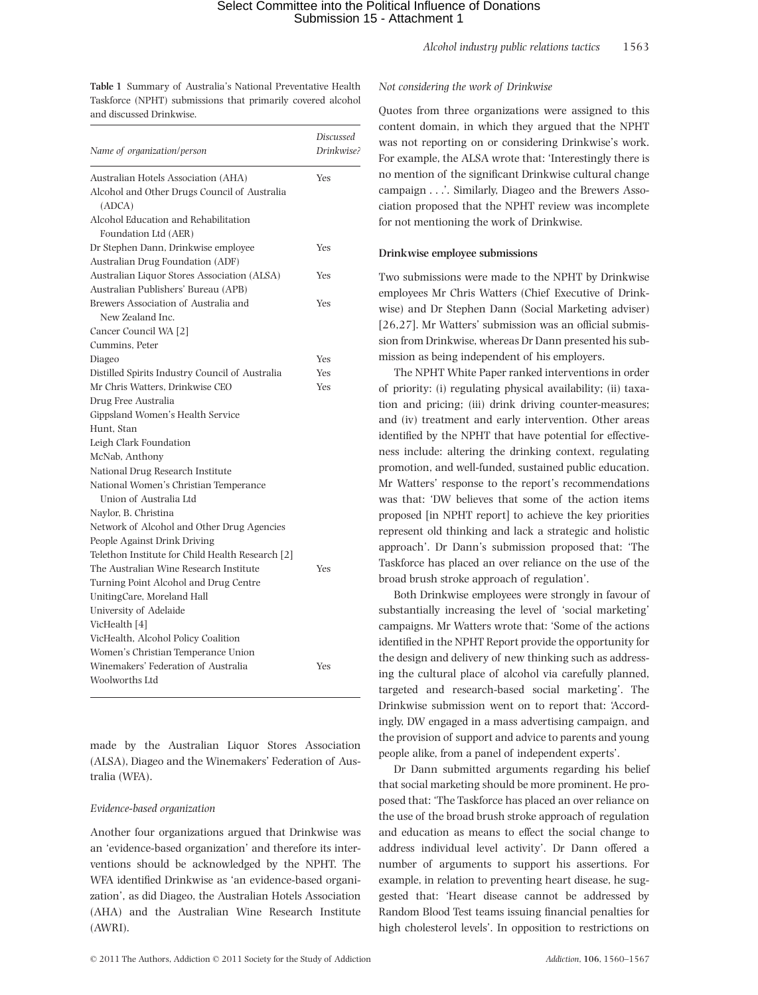**Table 1** Summary of Australia's National Preventative Health Taskforce (NPHT) submissions that primarily covered alcohol and discussed Drinkwise.

| Name of organization/person                                                        | Discussed<br>Drinkwise? |
|------------------------------------------------------------------------------------|-------------------------|
| Australian Hotels Association (AHA)                                                | Yes                     |
| Alcohol and Other Drugs Council of Australia<br>(ADCA)                             |                         |
| Alcohol Education and Rehabilitation<br>Foundation Ltd (AER)                       |                         |
| Dr Stephen Dann, Drinkwise employee<br>Australian Drug Foundation (ADF)            | Yes                     |
| Australian Liquor Stores Association (ALSA)<br>Australian Publishers' Bureau (APB) | Yes                     |
| Brewers Association of Australia and<br>New Zealand Inc.<br>Cancer Council WA [2]  | Yes                     |
| Cummins, Peter                                                                     |                         |
| Diageo                                                                             | Yes                     |
| Distilled Spirits Industry Council of Australia                                    | Yes                     |
| Mr Chris Watters, Drinkwise CEO                                                    | Yes                     |
| Drug Free Australia                                                                |                         |
| Gippsland Women's Health Service                                                   |                         |
| Hunt, Stan                                                                         |                         |
| Leigh Clark Foundation                                                             |                         |
| McNab, Anthony                                                                     |                         |
| National Drug Research Institute                                                   |                         |
| National Women's Christian Temperance                                              |                         |
| Union of Australia Ltd                                                             |                         |
| Naylor, B. Christina                                                               |                         |
| Network of Alcohol and Other Drug Agencies                                         |                         |
| People Against Drink Driving                                                       |                         |
| Telethon Institute for Child Health Research [2]                                   |                         |
| The Australian Wine Research Institute                                             | Yes                     |
| Turning Point Alcohol and Drug Centre                                              |                         |
| UnitingCare, Moreland Hall                                                         |                         |
| University of Adelaide                                                             |                         |
| VicHealth [4]                                                                      |                         |
| VicHealth, Alcohol Policy Coalition                                                |                         |
| Women's Christian Temperance Union                                                 |                         |
| Winemakers' Federation of Australia<br>Woolworths Ltd                              | Yes                     |
|                                                                                    |                         |

made by the Australian Liquor Stores Association (ALSA), Diageo and the Winemakers' Federation of Australia (WFA).

#### *Evidence-based organization*

Another four organizations argued that Drinkwise was an 'evidence-based organization' and therefore its interventions should be acknowledged by the NPHT. The WFA identified Drinkwise as 'an evidence-based organization', as did Diageo, the Australian Hotels Association (AHA) and the Australian Wine Research Institute (AWRI).

#### *Not considering the work of Drinkwise*

Quotes from three organizations were assigned to this content domain, in which they argued that the NPHT was not reporting on or considering Drinkwise's work. For example, the ALSA wrote that: 'Interestingly there is no mention of the significant Drinkwise cultural change campaign . . .'. Similarly, Diageo and the Brewers Association proposed that the NPHT review was incomplete for not mentioning the work of Drinkwise.

#### **Drinkwise employee submissions**

Two submissions were made to the NPHT by Drinkwise employees Mr Chris Watters (Chief Executive of Drinkwise) and Dr Stephen Dann (Social Marketing adviser) [26,27]. Mr Watters' submission was an official submission from Drinkwise, whereas Dr Dann presented his submission as being independent of his employers.

The NPHT White Paper ranked interventions in order of priority: (i) regulating physical availability; (ii) taxation and pricing; (iii) drink driving counter-measures; and (iv) treatment and early intervention. Other areas identified by the NPHT that have potential for effectiveness include: altering the drinking context, regulating promotion, and well-funded, sustained public education. Mr Watters' response to the report's recommendations was that: 'DW believes that some of the action items proposed [in NPHT report] to achieve the key priorities represent old thinking and lack a strategic and holistic approach'. Dr Dann's submission proposed that: 'The Taskforce has placed an over reliance on the use of the broad brush stroke approach of regulation'.

Both Drinkwise employees were strongly in favour of substantially increasing the level of 'social marketing' campaigns. Mr Watters wrote that: 'Some of the actions identified in the NPHT Report provide the opportunity for the design and delivery of new thinking such as addressing the cultural place of alcohol via carefully planned, targeted and research-based social marketing'. The Drinkwise submission went on to report that: 'Accordingly, DW engaged in a mass advertising campaign, and the provision of support and advice to parents and young people alike, from a panel of independent experts'.

Dr Dann submitted arguments regarding his belief that social marketing should be more prominent. He proposed that: 'The Taskforce has placed an over reliance on the use of the broad brush stroke approach of regulation and education as means to effect the social change to address individual level activity'. Dr Dann offered a number of arguments to support his assertions. For example, in relation to preventing heart disease, he suggested that: 'Heart disease cannot be addressed by Random Blood Test teams issuing financial penalties for high cholesterol levels'. In opposition to restrictions on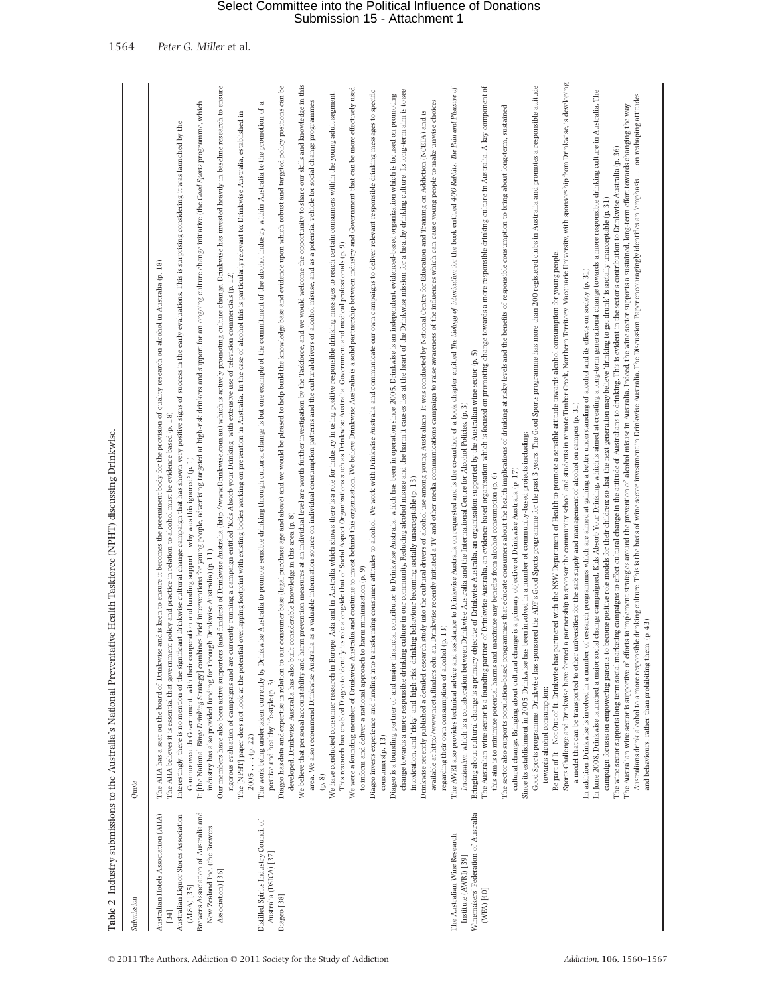| t<br>l                             |
|------------------------------------|
|                                    |
| l<br>i<br>l                        |
| ļ                                  |
| ļ                                  |
| l<br>$\overline{\phantom{a}}$<br>l |
|                                    |
| ֘֒                                 |
|                                    |
|                                    |
|                                    |
|                                    |
|                                    |
| j                                  |
| I                                  |
| i<br>į<br>I                        |

1564 *Peter G. Miller* et al*.*

| Submission                                                                                                                                                                                         | Quote                                                                                                                                                                                                                                                                                                                                                                                                                                                                                                                                                                                                                                                                                                                                                                                                                                                                                                                                                                                                                                                                                                                                                                                                                                                                                                                                                                                                                                                                                                                                                                                                                                                                                                                                                                                                                                                                                                                                                                                                                                                                                                                                                                                                                                                                                                                                                                                                                                                                                                                                                                                                                                                                                                                                                                                                                                                                                                                                                                                                                                                                                                                                        |
|----------------------------------------------------------------------------------------------------------------------------------------------------------------------------------------------------|----------------------------------------------------------------------------------------------------------------------------------------------------------------------------------------------------------------------------------------------------------------------------------------------------------------------------------------------------------------------------------------------------------------------------------------------------------------------------------------------------------------------------------------------------------------------------------------------------------------------------------------------------------------------------------------------------------------------------------------------------------------------------------------------------------------------------------------------------------------------------------------------------------------------------------------------------------------------------------------------------------------------------------------------------------------------------------------------------------------------------------------------------------------------------------------------------------------------------------------------------------------------------------------------------------------------------------------------------------------------------------------------------------------------------------------------------------------------------------------------------------------------------------------------------------------------------------------------------------------------------------------------------------------------------------------------------------------------------------------------------------------------------------------------------------------------------------------------------------------------------------------------------------------------------------------------------------------------------------------------------------------------------------------------------------------------------------------------------------------------------------------------------------------------------------------------------------------------------------------------------------------------------------------------------------------------------------------------------------------------------------------------------------------------------------------------------------------------------------------------------------------------------------------------------------------------------------------------------------------------------------------------------------------------------------------------------------------------------------------------------------------------------------------------------------------------------------------------------------------------------------------------------------------------------------------------------------------------------------------------------------------------------------------------------------------------------------------------------------------------------------------------|
| Brewers Association of Australia and<br>Australian Hotels Association (AHA)<br>Australian Liquor Stores Association<br>New Zealand Inc. (the Brewers<br>Association) [36]<br>$(ALSA)$ [35]<br>[34] | Our members have also been active supporters (and funders) of Drinkwise Australia (http://www.Drinkwise.com.au) which is actively promoting culture change. Drinkwise has invested heavily in baseline research to ensure<br>It [the National Binge Drinking Strategy] combines brief interventions for young people, advertising targeted at high-risk drinkers and support for an ongoing culture change initiative (the Good Sports programme, which<br>The [NPHT] paper does not look at the potential overlapping footprint with existing bodies working on prevention in Australia. In the case of alcohol this is particularly relevant to: Drinkwise Australia, established in<br>Interestingly, there is no mention of the significant Dimikwise cultural change campaign that has shown very positive signs of success in the early evaluations. This is surptising considering it was launched by the<br>is keen to ensure it becomes the preeminent body for the provision of quality research on alcohol in Australia (p. 18)<br>rigorous evaluation of campaigns and are currently running a campaign entitled 'Kids Absorb your Drinking' with extensive use of television commercials (p. 12)<br>The AHA believes it is essential that government policy and practice in relation to alcohol must be evidence based (p. 18)<br>Commonwealth Government, with their cooperation and funding support-why was this ignored? (p. 1)<br>industry has also provided funding for through Drinkwise Australia) (p. 11)<br>The AHA has a seat on the board of Drinkwise and                                                                                                                                                                                                                                                                                                                                                                                                                                                                                                                                                                                                                                                                                                                                                                                                                                                                                                                                                                                                                                                                                                                                                                                                                                                                                                                                                                                                                                                                                                                                                           |
| Distilled Spirits Industry Council of<br>Australia (DSICA) [37]<br>Diageo <sup>[38]</sup>                                                                                                          | We believe that personal accountability and harm prevention measures at an individual level are worth further investigation by the Taskforce, and we would welcome the opportunity to share our skills and knowledge in this<br>Diageo has data and expertise in relation to our consumer base (legal purchase age and above) and we would be pleased to help build the knowledge base and evidence upon which robust and targeted policy positions can be<br>We were a founding member of Drinkwise Australia and continue to invest behind this organization. We believe Drinkwise Australia is a solid partnership between industry and Government that can be more effectively used<br>Diageo invests experience and funding into transforming consumer attitudes to alcohol. We work with Drinkwise Australia and communicate our own campaigns to deliver relevant responsible drinking messages to specific<br>We have conducted consumer research in Europe, Asia and in Australia which shows there is a role for industry in using positive responsible drinking messages to reach certain consumers within the young adult segment.<br>a valuable information source on individual consumption patterns and the cultural drivers of alcohol misuse, and as a potential vehicle for social change programmes<br>$\overline{\mathbb{C}}$<br>Australia to promote sensible drinking through cultural change is but one example of the commitment of the alcohol industry within Australia to the promotion of<br>This research has enabled Diageo to identify its role alongside that of Social Aspect Organizations such as Drinkwise Australia. Government and medical professionals (p. 9)<br>developed. Drinkwise Australia has also built considerable knowledge in this area (p. 8)<br>to inform and deliver a national approach to harm minimization (p. 9)<br>The work being undertaken currently by Drinkwise<br>area. We also recommend Drinkwise Australia as<br>positive and healthy life-style (p. 3)<br>$2005\ldots:(p.~22)$<br>consumers(p. 13)<br>(p. 8)                                                                                                                                                                                                                                                                                                                                                                                                                                                                                                                                                                                                                                                                                                                                                                                                                                                                                                                                                                                                                                                             |
|                                                                                                                                                                                                    | change towards a more responsible drinking culture in our community. Reducing alcohol misuse and the harm it causes lies at the heart of the Drinkwise mission for a healthy drinking culture. Its long-term aim is to see<br>Diageo is a founding partner of, and major financial contributor to Drinkwise Australia, which has been in operation since 2005. Drinkwise is an independent, evidenced-based organization which is focused on promoting<br>available at http://www.nceta.flinders.edu.au. Drinkwise recently initiated a TV and other media communications campaign to raise awareness of the influences which can cause young people to make unwise choices<br>Drinkwise recently published a detailed research study into the cultural drivers of alcohol use among young Australians. It was conducted by National Centre for Education and Training on Addiction (NCETA) and is<br>intoxication, and 'risky' and 'high-risk' drinking behaviour becoming socially unacceptable (p. 13)<br>$\frac{3}{2}$<br>regarding their own consumption of alcohol (p.                                                                                                                                                                                                                                                                                                                                                                                                                                                                                                                                                                                                                                                                                                                                                                                                                                                                                                                                                                                                                                                                                                                                                                                                                                                                                                                                                                                                                                                                                                                                                                                                                                                                                                                                                                                                                                                                                                                                                                                                                                                                 |
| Winemakers' Federation of Australia<br>The Australian Wine Research<br>Institute (AWRI) [39]<br>(WFA) [40]                                                                                         | Sports Challenge and Drinkwise have formed a partnership to sponsor the community school and students in remote Timber Creek. Northern Territory, Macquarie University, with sponsorship from Drinkwise, is developing<br>Good Sports programme. Drinkwise has sponsored the ADF's Good Sports programme for the past 3 years. The Good Sports programme has more than 200 registered clubs in Australia and promotes a responsible attitude<br>Drinkwise Australia, an evidence-based organization which is focused on promoting change towards a more responsible drinking culture in Australia. A key component of<br>The AWNI also provides technical advice and assistance to Drinkwise Australia on requested and is the co-author of a book chapter entitled The biology of interstation for the book entitled 400 Rabbits: The Pain and Pleasur<br>In June 2008. Drinkwise launched a major social change campaigned, Kids Absorb Your Drinking, which is ained at creating a long-term generational change towards a more responsible drinking culture in Australia. The<br>The Australian wine sector is supportive of efforts to implement strategies around the prevention of alcohol misuse in Australia. Indeed, the wine sector supports a sustained, long-term effort towards changing the way<br>The sector also supports population-based programmes that educate consumers about the health implications of drinking at risky levels and the benefits of responsible consumption to bring about long-term, sustained<br>The wine sector supports long-term social marketing campaigns to effect cultural change in the attitude of Australians to drinking. This is evident in the sector's contribution to Drinkwise Australia (p. 36)<br>campaign focuses on empowering parents to become positive role models for their children; so that the next generation may believe 'drinking to get drunk' is socially unacceptable (p. 31)<br>Be part of It-Not Out of It. Drinkwise has partnered with the NSW Department of Health to promote a sensible attitude towards alcohol consumption for young people.<br>In addition. Drinkwise is involved in a number of research programmes which are aimed at gaining a better understanding of alcohol and its effects on society (p. 31)<br>Bringing about cultural change is a primary objective of Drinkwise Australia, an organization supported by the Australian wine sector (p. 5)<br>Intoxication, which is a collaboration between Drinkwise Australia and the International Centre for Alcohol Policies. (p. 3)<br>a model that can be transported to other universities for the safe supply and management of alcohol on campus (p. 31)<br>Since its establishment in 2005, Drinkwise has been involved in a number of community-based projects including:<br>is a primary objective of Drinkwise Australia (p. 17)<br>this aim is to minimize potential harms and maximize any benefits from alcohol consumption (p. 6)<br>The Australian wine sector is a founding partner of<br>cultural change. Bringing about cultural change<br>towards alcohol consumption; |
|                                                                                                                                                                                                    | Australians drink alcohol to a more responsible drinking culture. This is the basis of wine sector investment in Drinkwise Australia. The Discussion Paper encouragingly identifies an 'emphasis on reshaping artitudes<br>and behaviours, rather than prohibiting them' (p. 43)                                                                                                                                                                                                                                                                                                                                                                                                                                                                                                                                                                                                                                                                                                                                                                                                                                                                                                                                                                                                                                                                                                                                                                                                                                                                                                                                                                                                                                                                                                                                                                                                                                                                                                                                                                                                                                                                                                                                                                                                                                                                                                                                                                                                                                                                                                                                                                                                                                                                                                                                                                                                                                                                                                                                                                                                                                                             |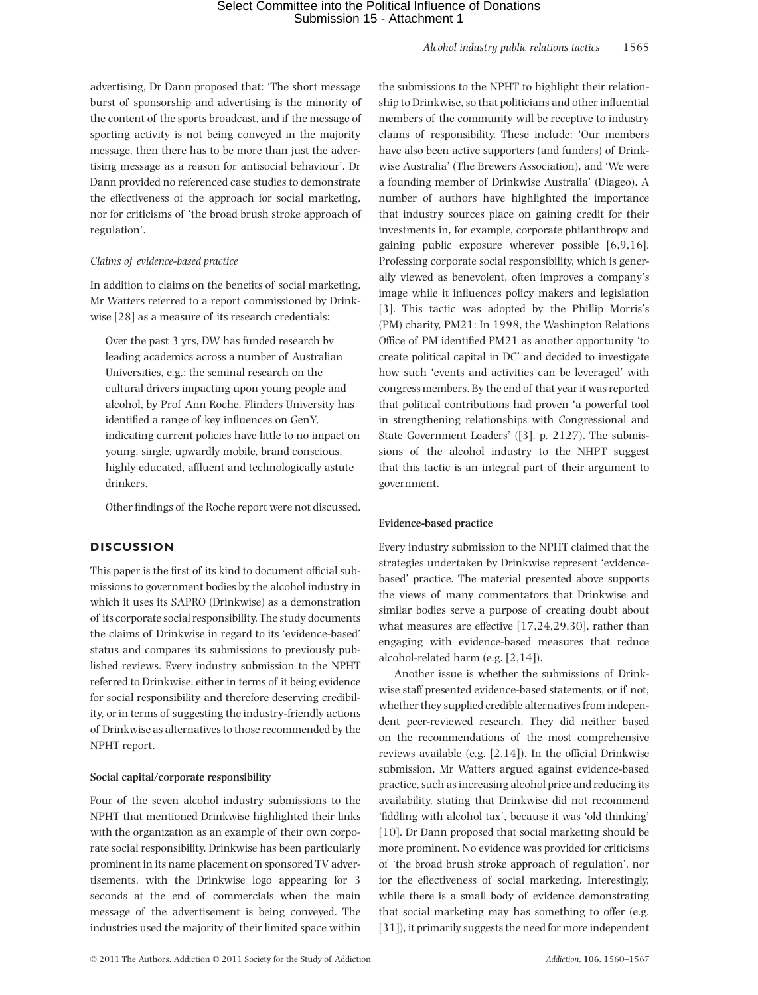#### *Alcohol industry public relations tactics* 1565

advertising, Dr Dann proposed that: 'The short message burst of sponsorship and advertising is the minority of the content of the sports broadcast, and if the message of sporting activity is not being conveyed in the majority message, then there has to be more than just the advertising message as a reason for antisocial behaviour'. Dr Dann provided no referenced case studies to demonstrate the effectiveness of the approach for social marketing, nor for criticisms of 'the broad brush stroke approach of regulation'.

#### *Claims of evidence-based practice*

In addition to claims on the benefits of social marketing, Mr Watters referred to a report commissioned by Drinkwise [28] as a measure of its research credentials:

Over the past 3 yrs, DW has funded research by leading academics across a number of Australian Universities, e.g.; the seminal research on the cultural drivers impacting upon young people and alcohol, by Prof Ann Roche, Flinders University has identified a range of key influences on GenY, indicating current policies have little to no impact on young, single, upwardly mobile, brand conscious, highly educated, affluent and technologically astute drinkers.

Other findings of the Roche report were not discussed.

## **DISCUSSION**

This paper is the first of its kind to document official submissions to government bodies by the alcohol industry in which it uses its SAPRO (Drinkwise) as a demonstration of its corporate social responsibility. The study documents the claims of Drinkwise in regard to its 'evidence-based' status and compares its submissions to previously published reviews. Every industry submission to the NPHT referred to Drinkwise, either in terms of it being evidence for social responsibility and therefore deserving credibility, or in terms of suggesting the industry-friendly actions of Drinkwise as alternatives to those recommended by the NPHT report.

## **Social capital/corporate responsibility**

Four of the seven alcohol industry submissions to the NPHT that mentioned Drinkwise highlighted their links with the organization as an example of their own corporate social responsibility. Drinkwise has been particularly prominent in its name placement on sponsored TV advertisements, with the Drinkwise logo appearing for 3 seconds at the end of commercials when the main message of the advertisement is being conveyed. The industries used the majority of their limited space within the submissions to the NPHT to highlight their relationship to Drinkwise, so that politicians and other influential members of the community will be receptive to industry claims of responsibility. These include: 'Our members have also been active supporters (and funders) of Drinkwise Australia' (The Brewers Association), and 'We were a founding member of Drinkwise Australia' (Diageo). A number of authors have highlighted the importance that industry sources place on gaining credit for their investments in, for example, corporate philanthropy and gaining public exposure wherever possible [6,9,16]. Professing corporate social responsibility, which is generally viewed as benevolent, often improves a company's image while it influences policy makers and legislation [3]. This tactic was adopted by the Phillip Morris's (PM) charity, PM21: In 1998, the Washington Relations Office of PM identified PM21 as another opportunity 'to create political capital in DC' and decided to investigate how such 'events and activities can be leveraged' with congress members. By the end of that year it was reported that political contributions had proven 'a powerful tool in strengthening relationships with Congressional and State Government Leaders' ([3], p. 2127). The submissions of the alcohol industry to the NHPT suggest that this tactic is an integral part of their argument to government.

## **Evidence-based practice**

Every industry submission to the NPHT claimed that the strategies undertaken by Drinkwise represent 'evidencebased' practice. The material presented above supports the views of many commentators that Drinkwise and similar bodies serve a purpose of creating doubt about what measures are effective [17,24,29,30], rather than engaging with evidence-based measures that reduce alcohol-related harm (e.g. [2,14]).

Another issue is whether the submissions of Drinkwise staff presented evidence-based statements, or if not, whether they supplied credible alternatives from independent peer-reviewed research. They did neither based on the recommendations of the most comprehensive reviews available (e.g. [2,14]). In the official Drinkwise submission, Mr Watters argued against evidence-based practice, such as increasing alcohol price and reducing its availability, stating that Drinkwise did not recommend 'fiddling with alcohol tax', because it was 'old thinking' [10]. Dr Dann proposed that social marketing should be more prominent. No evidence was provided for criticisms of 'the broad brush stroke approach of regulation', nor for the effectiveness of social marketing. Interestingly, while there is a small body of evidence demonstrating that social marketing may has something to offer (e.g. [31]), it primarily suggests the need for more independent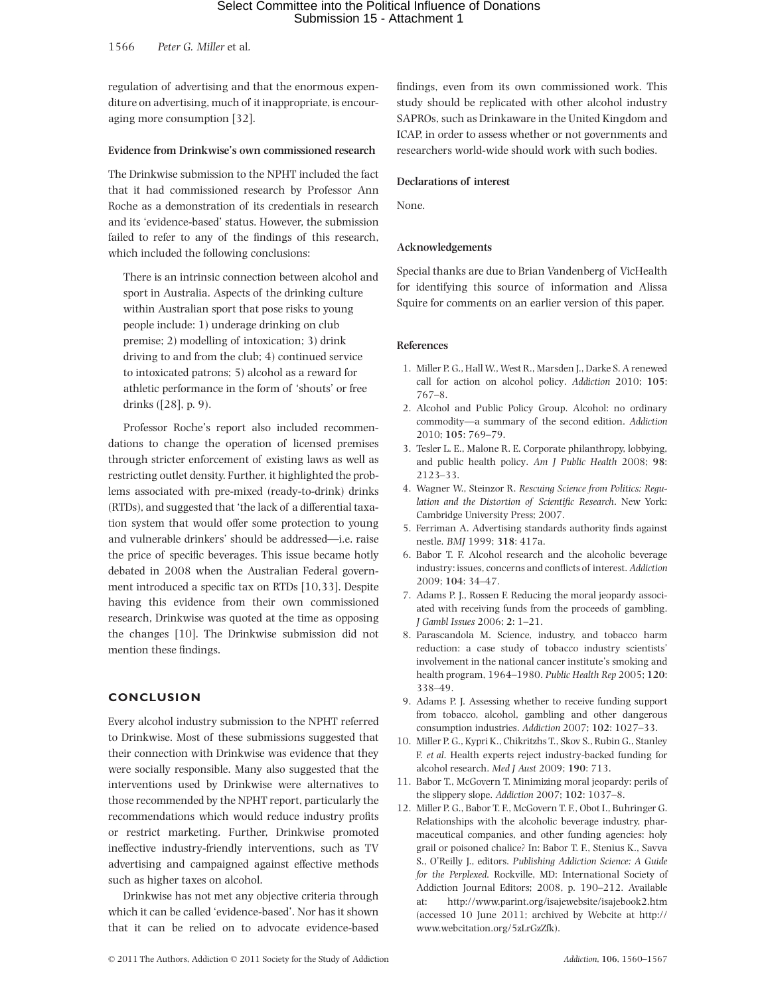1566 *Peter G. Miller* et al*.*

regulation of advertising and that the enormous expenditure on advertising, much of it inappropriate, is encouraging more consumption [32].

#### **Evidence from Drinkwise's own commissioned research**

The Drinkwise submission to the NPHT included the fact that it had commissioned research by Professor Ann Roche as a demonstration of its credentials in research and its 'evidence-based' status. However, the submission failed to refer to any of the findings of this research, which included the following conclusions:

There is an intrinsic connection between alcohol and sport in Australia. Aspects of the drinking culture within Australian sport that pose risks to young people include: 1) underage drinking on club premise; 2) modelling of intoxication; 3) drink driving to and from the club; 4) continued service to intoxicated patrons; 5) alcohol as a reward for athletic performance in the form of 'shouts' or free drinks ([28], p. 9).

Professor Roche's report also included recommendations to change the operation of licensed premises through stricter enforcement of existing laws as well as restricting outlet density. Further, it highlighted the problems associated with pre-mixed (ready-to-drink) drinks (RTDs), and suggested that 'the lack of a differential taxation system that would offer some protection to young and vulnerable drinkers' should be addressed—i.e. raise the price of specific beverages. This issue became hotly debated in 2008 when the Australian Federal government introduced a specific tax on RTDs [10,33]. Despite having this evidence from their own commissioned research, Drinkwise was quoted at the time as opposing the changes [10]. The Drinkwise submission did not mention these findings.

## **CONCLUSION**

Every alcohol industry submission to the NPHT referred to Drinkwise. Most of these submissions suggested that their connection with Drinkwise was evidence that they were socially responsible. Many also suggested that the interventions used by Drinkwise were alternatives to those recommended by the NPHT report, particularly the recommendations which would reduce industry profits or restrict marketing. Further, Drinkwise promoted ineffective industry-friendly interventions, such as TV advertising and campaigned against effective methods such as higher taxes on alcohol.

Drinkwise has not met any objective criteria through which it can be called 'evidence-based'. Nor has it shown that it can be relied on to advocate evidence-based findings, even from its own commissioned work. This study should be replicated with other alcohol industry SAPROs, such as Drinkaware in the United Kingdom and ICAP, in order to assess whether or not governments and researchers world-wide should work with such bodies.

#### **Declarations of interest**

None.

#### **Acknowledgements**

Special thanks are due to Brian Vandenberg of VicHealth for identifying this source of information and Alissa Squire for comments on an earlier version of this paper.

#### **References**

- 1. Miller P. G., Hall W., West R., Marsden J., Darke S. A renewed call for action on alcohol policy. *Addiction* 2010; **105**: 767–8.
- 2. Alcohol and Public Policy Group. Alcohol: no ordinary commodity—a summary of the second edition. *Addiction* 2010; **105**: 769–79.
- 3. Tesler L. E., Malone R. E. Corporate philanthropy, lobbying, and public health policy. *Am J Public Health* 2008; **98**: 2123–33.
- 4. Wagner W., Steinzor R. *Rescuing Science from Politics: Regulation and the Distortion of Scientific Research*. New York: Cambridge University Press; 2007.
- 5. Ferriman A. Advertising standards authority finds against nestle. *BMJ* 1999; **318**: 417a.
- 6. Babor T. F. Alcohol research and the alcoholic beverage industry: issues, concerns and conflicts of interest. *Addiction* 2009; **104**: 34–47.
- 7. Adams P. J., Rossen F. Reducing the moral jeopardy associated with receiving funds from the proceeds of gambling. *J Gambl Issues* 2006; **2**: 1–21.
- 8. Parascandola M. Science, industry, and tobacco harm reduction: a case study of tobacco industry scientists' involvement in the national cancer institute's smoking and health program, 1964–1980. *Public Health Rep* 2005; **120**: 338–49.
- 9. Adams P. J. Assessing whether to receive funding support from tobacco, alcohol, gambling and other dangerous consumption industries. *Addiction* 2007; **102**: 1027–33.
- 10. Miller P. G., Kypri K., Chikritzhs T., Skov S., Rubin G., Stanley F. *et al*. Health experts reject industry-backed funding for alcohol research. *Med J Aust* 2009; **190**: 713.
- 11. Babor T., McGovern T. Minimizing moral jeopardy: perils of the slippery slope. *Addiction* 2007; **102**: 1037–8.
- 12. Miller P. G., Babor T. F., McGovern T. F., Obot I., Buhringer G. Relationships with the alcoholic beverage industry, pharmaceutical companies, and other funding agencies: holy grail or poisoned chalice? In: Babor T. F., Stenius K., Savva S., O'Reilly J., editors. *Publishing Addiction Science: A Guide for the Perplexed*. Rockville, MD: International Society of Addiction Journal Editors; 2008, p. 190–212. Available at: http://www.parint.org/isajewebsite/isajebook2.htm (accessed 10 June 2011; archived by Webcite at http:// www.webcitation.org/5zLrGzZfk).